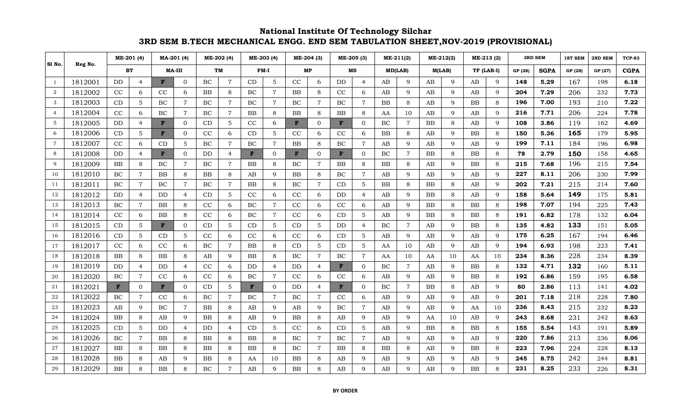|                |         |              | ME-201 (4)     |              | MA-201 (4)     |           | ME-202 (4)     |           | ME-203 (4)     |              | ME-204 (3)     |              | ME-205 (3)     |    | ME-211(2)      | ME-212(2) |              | ME-213 (2) |         |         | <b>3RD SEM</b> | 1ST SEM | 2ND SEM | <b>TCP-83</b> |
|----------------|---------|--------------|----------------|--------------|----------------|-----------|----------------|-----------|----------------|--------------|----------------|--------------|----------------|----|----------------|-----------|--------------|------------|---------|---------|----------------|---------|---------|---------------|
| Sl No.         | Reg No. | <b>BT</b>    |                | MA-III       |                | TM        |                | FM-I      |                |              | MP             |              | MS             |    | MD(LAB)        |           | M(LAB)       | TF (LAB-I) |         | GP (28) | <b>SGPA</b>    | GP (28) | GP (27) | <b>CGPA</b>   |
| <sup>1</sup>   | 1812001 | DD.          | $\overline{4}$ | F            | $\mathbf{0}$   | <b>BC</b> | $\overline{7}$ | <b>CD</b> | 5              | CC           | 6              | DD           | 4              | AB | 9              | AB        | 9            | AB         | 9       | 148     | 5.29           | 167     | 198     | 6.18          |
| 2              | 1812002 | CC           | 6              | CC           | 6              | BB        | 8              | BC        | $\overline{7}$ | BB           | 8              | CC           | 6              | AB | 9              | AB        | $\mathbf{Q}$ | AB         | 9       | 204     | 7.29           | 206     | 232     | 7.73          |
| 3              | 1812003 | CD           | 5              | BC           | $\overline{7}$ | $\rm BC$  | $\overline{7}$ | BC        | $\overline{7}$ | BC           | $\overline{7}$ | BC           | 7              | BB | 8              | AB        | 9            | BB         | 8       | 196     | 7.00           | 193     | 210     | 7.22          |
| $\overline{4}$ | 1812004 | CC           | 6              | BC           | $\overline{7}$ | BC        | $\overline{7}$ | BB        | 8              | BB           | 8              | ΒB           | 8              | AA | 10             | AΒ        | 9            | AB         | 9       | 216     | 7.71           | 206     | 224     | 7.78          |
| 5              | 1812005 | DD.          | $\overline{4}$ | F            | $\mathbf{0}$   | CD        | 5              | CC        | 6              | F            | $\mathbf{0}$   | F            | $\mathbf{0}$   | BC | $\overline{7}$ | BB        | 8            | AB         | 9       | 108     | 3.86           | 119     | 162     | 4.69          |
| 6              | 1812006 | CD           | 5              | F            | $\Omega$       | CC        | 6              | CD        | 5              | CC           | 6              | CC           | 6              | BB | 8              | AB        | 9            | BB         | 8       | 150     | 5.36           | 165     | 179     | 5.95          |
| $\overline{7}$ | 1812007 | CC           | 6              | CD           | 5              | $\rm BC$  | $\tau$         | BC        | 7              | BB           | 8              | BС           | 7              | AB | 9              | AB        | 9            | AB         | 9       | 199     | 7.11           | 184     | 196     | 6.98          |
| 8              | 1812008 | DD.          | 4              | $\mathbf{F}$ | $\Omega$       | DD        | $\overline{4}$ | F         | $\Omega$       | $\mathbf{F}$ | $\Omega$       | $\mathbf{F}$ | $\Omega$       | BC | $\overline{7}$ | <b>BB</b> | 8            | BB         | 8       | 78      | 2.79           | 150     | 158     | 4.65          |
| 9              | 1812009 | <b>BB</b>    | 8              | BC           | $\overline{7}$ | BC        | $\tau$         | BB        | 8              | BC           | $\overline{7}$ | ΒB           | 8              | BB | 8              | AВ        | 9            | BB         | 8       | 215     | 7.68           | 196     | 215     | 7.54          |
| 10             | 1812010 | BC           | $\overline{7}$ | <b>BB</b>    | 8              | BB        | 8              | AB        | 9              | BB           | 8              | BC           | $\overline{7}$ | AB | 9              | AВ        | $\mathbf{Q}$ | AB         | 9       | 227     | 8.11           | 206     | 230     | 7.99          |
| 11             | 1812011 | $\rm BC$     | $\overline{7}$ | BC           | $\overline{7}$ | BC        | $\overline{7}$ | <b>BB</b> | 8              | BC           | $\overline{7}$ | CD           | 5              | BB | 8              | <b>BB</b> | 8            | AB         | 9       | 202     | 7.21           | 215     | 214     | 7.60          |
| 12             | 1812012 | DD.          | $\overline{4}$ | DD           | 4              | CD        | 5              | CC        | 6              | CC           | 6              | DD           | 4              | AB | 9              | BB        | 8            | AB         | 9       | 158     | 5.64           | 149     | 175     | 5.81          |
| 13             | 1812013 | BC           | $\tau$         | BB           | 8              | CC        | 6              | BC        | 7              | CC           | 6              | CC           | 6              | AB | 9              | BB        | 8            | BB         | 8       | 198     | 7.07           | 194     | 225     | 7.43          |
| 14             | 1812014 | CC           | 6              | <b>BB</b>    | 8              | CC        | 6              | BC        | $\overline{7}$ | CC           | 6              | CD           | 5              | AB | 9              | BB        | 8            | <b>BB</b>  | $\,8\,$ | 191     | 6.82           | 178     | 132     | 6.04          |
| 15             | 1812015 | CD           | 5              | F            | $\Omega$       | CD        | 5              | CD        | 5              | CD           | $\overline{5}$ | <b>DD</b>    | 4              | BC | $\overline{7}$ | AΒ        | 9            | <b>BB</b>  | 8       | 135     | 4.82           | 133     | 151     | 5.05          |
| 16             | 1812016 | CD           | 5              | CD           | 5              | CC        | 6              | CC        | 6              | CC           | 6              | CD           | 5              | AB | 9              | AB        | 9            | AB         | 9       | 175     | 6.25           | 167     | 194     | 6.46          |
| 17             | 1812017 | CC           | 6              | CC           | 6              | BC        | $\overline{7}$ | BB        | 8              | CD           | 5              | <b>CD</b>    | 5              | AA | 10             | AB        | 9            | AB         | 9       | 194     | 6.93           | 198     | 223     | 7.41          |
| 18             | 1812018 | BB           | 8              | <b>BB</b>    | 8              | AB        | $\mathbf{Q}$   | <b>BB</b> | 8              | BC           | $\overline{7}$ | BС           | 7              | AA | 10             | AA        | 10           | AA         | 10      | 234     | 8.36           | 228     | 234     | 8.39          |
| 19             | 1812019 | DD.          | $\overline{4}$ | DD           | $\overline{4}$ | CC        | 6              | DD        | $\overline{4}$ | <b>DD</b>    | $\overline{4}$ | F            | $\Omega$       | BC | $\overline{7}$ | AB        | 9            | <b>BB</b>  | 8       | 132     | 4.71           | 132     | 160     | 5.11          |
| 20             | 1812020 | BC           | $\overline{7}$ | CC           | 6              | cc        | 6              | BC        | $\overline{7}$ | CC           | 6              | CC           | 6              | AB | 9              | AВ        | 9            | <b>BB</b>  | 8       | 192     | 6.86           | 159     | 195     | 6.58          |
| 21             | 1812021 | $\mathbf{F}$ | 0              | F            | $\overline{0}$ | CD        | 5              | F         | $\overline{0}$ | <b>DD</b>    | $\overline{4}$ | F            | $\Omega$       | BC | $\overline{7}$ | BB        | 8            | AB         | 9       | 80      | 2.86           | 113     | 141     | 4.02          |
| 22             | 1812022 | $\rm BC$     | $\overline{7}$ | CC           | 6              | $\rm BC$  | $\overline{7}$ | $\rm BC$  | $\overline{7}$ | BC           | $\overline{7}$ | CC           | 6              | AB | $\mathbf Q$    | AB        | $\mathbf{Q}$ | AB         | 9       | 201     | 7.18           | 218     | 228     | 7.80          |
| 23             | 1812023 | AB           | 9              | BC           | $\overline{7}$ | BB        | 8              | AB        | 9              | AB           | 9              | BC           | 7              | AB | 9              | AВ        | 9            | AA         | 10      | 236     | 8.43           | 215     | 232     | 8.23          |
| 24             | 1812024 | <b>BB</b>    | 8              | AB           | 9              | BB        | 8              | AB        | 9              | BB           | 8              | AB           | 9              | AB | 9              | AA        | 10           | AB         | 9       | 243     | 8.68           | 231     | 242     | 8.63          |
| 25             | 1812025 | CD           | 5              | DD           | 4              | DD        | $\overline{4}$ | CD        | 5              | CC           | 6              | CD           | 5              | AB | 9              | <b>BB</b> | 8            | BB         | 8       | 155     | 5.54           | 143     | 191     | 5.89          |
| 26             | 1812026 | BC           | $\overline{7}$ | <b>BB</b>    | 8              | <b>BB</b> | 8              | <b>BB</b> | 8              | BC           | $\overline{7}$ | BС           | 7              | AB | 9              | AВ        | $\mathbf{Q}$ | AB         | 9       | 220     | 7.86           | 213     | 236     | 8.06          |
| 27             | 1812027 | <b>BB</b>    | 8              | BB           | 8              | BB        | 8              | BB        | 8              | BC           | $\overline{7}$ | BB           | 8              | BB | 8              | AВ        | 9            | BB         | 8       | 223     | 7.96           | 224     | 228     | 8.13          |
| 28             | 1812028 | <b>BB</b>    | 8              | AB           | 9              | BB        | 8              | AA        | 10             | BB           | 8              | AВ           | 9              | AB | 9              | AВ        | 9            | AB         | 9       | 245     | 8.75           | 242     | 244     | 8.81          |
| 29             | 1812029 | <b>BB</b>    | 8              | BB           | 8              | BC        | $\overline{7}$ | AB        | Q              | <b>BB</b>    | 8              | AВ           | q              | AB | $\mathbf Q$    | AB        |              | <b>BB</b>  | 8       | 231     | 8.25           | 233     | 226     | 8.31          |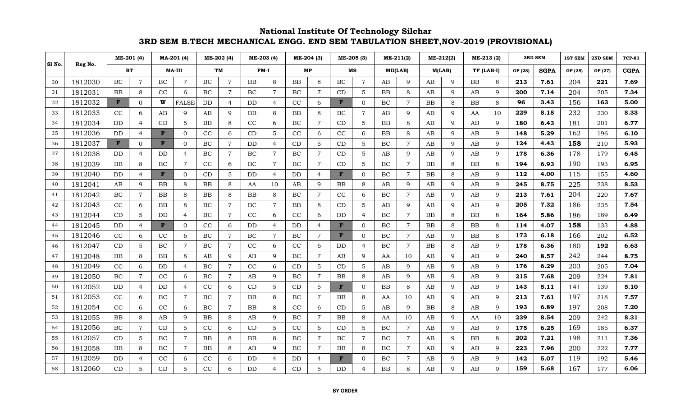|        |         |              | ME-201 (4)     |           | MA-201 (4)     |           | ME-202 (4)     |           | ME-203 (4)     |            | ME-204 (3)      |             | ME-205 (3)     |           | ME-211(2)      |             | ME-212(2)    |            | ME-213 (2)  |         | <b>3RD SEM</b> | 1ST SEM | 2ND SEM | <b>TCP-83</b> |
|--------|---------|--------------|----------------|-----------|----------------|-----------|----------------|-----------|----------------|------------|-----------------|-------------|----------------|-----------|----------------|-------------|--------------|------------|-------------|---------|----------------|---------|---------|---------------|
| Sl No. | Reg No. |              | ВT             |           | MA-III         |           | TM             |           | FM-I           |            | МP              |             | MS             |           | MD(LAB)        | M(LAB)      |              | TF (LAB-I) |             | GP (28) | <b>SGPA</b>    | GP (28) | GP (27) | <b>CGPA</b>   |
| 30     | 1812030 | BC           | $\overline{7}$ | BC        | $\overline{7}$ | $\rm BC$  | $\overline{7}$ | <b>BB</b> | 8              | ${\bf BB}$ | 8               | BC          | $\overline{7}$ | AB        | 9              | AB          | 9            | ${\bf BB}$ | 8           | 213     | 7.61           | 204     | 221     | 7.69          |
| 31     | 1812031 | BB           | 8              | CC        | 6              | <b>BC</b> | $\overline{7}$ | BC        | $\overline{7}$ | BC         | $\overline{7}$  | CD          | 5              | BB        | 8              | AB          | $\mathbf{Q}$ | AB         | 9           | 200     | 7.14           | 204     | 205     | 7.34          |
| 32     | 1812032 | F            | 0              | W         | <b>FALSE</b>   | DD        | $\overline{4}$ | DD        | $\overline{4}$ | CC         | 6               | F           | $\mathbf{0}$   | BC        | $\overline{7}$ | <b>BB</b>   | 8            | BB         | 8           | 96      | 3.43           | 156     | 163     | 5.00          |
| 33     | 1812033 | CC           | 6              | AB        | 9              | AB        | 9              | BB        | 8              | BB         | 8               | BС          | 7              | AB        | 9              | AВ          | 9            | AA         | 10          | 229     | 8.18           | 232     | 230     | 8.33          |
| 34     | 1812034 | DD           | $\overline{4}$ | CD        | 5              | <b>BB</b> | 8              | $\rm CC$  | 6              | BC         | $\overline{7}$  | CD          | $\overline{5}$ | BB        | 8              | AB          | 9            | AB         | 9           | 180     | 6.43           | 181     | 201     | 6.77          |
| 35     | 1812036 | DD.          | $\overline{4}$ | F         | $\Omega$       | CC        | 6              | CD        | 5              | CC         | 6               | CC          | 6              | <b>BB</b> | 8              | AВ          | 9            | AB         | 9           | 148     | 5.29           | 162     | 196     | 6.10          |
| 36     | 1812037 | $\mathbf{F}$ | 0              | F         | $\Omega$       | <b>BC</b> | $\overline{7}$ | DD        | $\overline{4}$ | CD         | 5               | CD          | 5              | BC        | $\overline{7}$ | AВ          | $\mathbf{Q}$ | AB         | 9           | 124     | 4.43           | 158     | 210     | 5.93          |
| 37     | 1812038 | DD           | $\overline{4}$ | DD        | $\overline{4}$ | BC        | $\overline{7}$ | BC        | $\overline{7}$ | BC         | $\overline{7}$  | CD          | 5              | AB        | 9              | AB          | 9            | AB         | 9           | 178     | 6.36           | 178     | 179     | 6.45          |
| 38     | 1812039 | BB           | 8              | BC        | $\overline{7}$ | CC        | 6              | $\rm BC$  | $\overline{7}$ | $\rm BC$   | $\overline{7}$  | CD          | 5              | BC        | $\overline{7}$ | $_{\rm BB}$ | 8            | BB         | 8           | 194     | 6.93           | 190     | 193     | 6.95          |
| 39     | 1812040 | DD.          | $\overline{4}$ | F         | $\Omega$       | CD        | 5              | DD        | $\overline{4}$ | <b>DD</b>  | $\overline{4}$  | F           | $\Omega$       | BC        | $\overline{7}$ | BB          | 8            | AB         | 9           | 112     | 4.00           | 115     | 155     | 4.60          |
| 40     | 1812041 | AB           | 9              | <b>BB</b> | 8              | <b>BB</b> | 8              | AA        | 10             | AB         | 9               | BB          | 8              | AB        | 9              | AB          | $\mathbf{Q}$ | AB         | 9           | 245     | 8.75           | 225     | 238     | 8.53          |
| 41     | 1812042 | $\rm BC$     | $\overline{7}$ | BB        | 8              | BB        | 8              | BB        | 8              | $\rm BC$   | $\overline{7}$  | CC          | 6              | $\rm BC$  | $\overline{7}$ | AВ          | 9            | AB         | 9           | 213     | 7.61           | 204     | 220     | 7.67          |
| 42     | 1812043 | CC           | 6              | <b>BB</b> | 8              | BC        | $\overline{7}$ | BC        | $\overline{7}$ | <b>BB</b>  | 8               | CD          | 5              | AB        | $\mathbf Q$    | AB          | $\mathbf{Q}$ | AB         | 9           | 205     | 7.32           | 186     | 235     | 7.54          |
| 43     | 1812044 | CD           | 5              | DD        | $\overline{4}$ | <b>BC</b> | $\overline{7}$ | CC        | 6              | CC         | 6               | DD          | 4              | BC        | $\overline{7}$ | <b>BB</b>   | 8            | BB         | 8           | 164     | 5.86           | 186     | 189     | 6.49          |
| 44     | 1812045 | DD.          | 4              | F         | $\Omega$       | CC        | 6              | DD        | $\overline{4}$ | <b>DD</b>  | $\overline{4}$  | F           | $\Omega$       | BC        | $\overline{7}$ | ΒB          | 8            | <b>BB</b>  | 8           | 114     | 4.07           | 158     | 133     | 4.88          |
| 45     | 1812046 | CC           | 6              | CC        | 6              | BC        | $\overline{7}$ | $\rm BC$  | $\overline{7}$ | BC         | $\overline{7}$  | $\mathbf F$ | $\mathbf{0}$   | BC        | $\overline{7}$ | AВ          | 9            | BB         | 8           | 173     | 6.18           | 166     | 202     | 6.52          |
| 46     | 1812047 | CD           | 5              | BC        | $\overline{7}$ | BC        | $\overline{7}$ | CC        | 6              | $\rm CC$   | 6               | DD          | 4              | BC        | $\overline{7}$ | <b>BB</b>   | 8            | AB         | 9           | 178     | 6.36           | 180     | 192     | 6.63          |
| 47     | 1812048 | <b>BB</b>    | 8              | <b>BB</b> | 8              | AB        | 9              | AB        | $\mathbf{Q}$   | BC         | $\overline{7}$  | AB          | 9              | AA        | 10             | AВ          | $\mathbf Q$  | AB         | 9           | 240     | 8.57           | 242     | 244     | 8.75          |
| 48     | 1812049 | CC           | 6              | DD        | $\overline{4}$ | BC        | $\overline{7}$ | CC        | 6              | CD         | 5               | CD          | 5              | AB        | 9              | AB          | $\mathbf{Q}$ | AB         | 9           | 176     | 6.29           | 203     | 205     | 7.04          |
| 49     | 1812050 | $\rm BC$     | $\overline{7}$ | CC        | 6              | $\rm BC$  | $\overline{7}$ | AB        | 9              | $\rm BC$   | $\overline{7}$  | BB          | 8              | AB        | 9              | AВ          | 9            | AB         | 9           | 215     | 7.68           | 209     | 224     | 7.81          |
| 50     | 1812052 | <b>DD</b>    | $\overline{4}$ | DD        | $\overline{4}$ | CC        | 6              | CD        | 5              | CD         | $5\phantom{.0}$ | F           | $\Omega$       | BB        | 8              | AB          | $\mathbf{Q}$ | AB         | 9           | 143     | 5.11           | 141     | 139     | 5.10          |
| 51     | 1812053 | CC           | 6              | BC        | $\overline{7}$ | BC        | $\overline{7}$ | BB        | 8              | BC         | $\overline{7}$  | BB          | 8              | AA        | 10             | AB          | $\mathbf{Q}$ | AB         | 9           | 213     | 7.61           | 197     | 218     | 7.57          |
| 52     | 1812054 | CC           | 6              | CC        | 6              | BC        | $\overline{7}$ | BB        | 8              | CC         | 6               | CD          | 5              | AB        | 9              | ΒB          | 8            | AB         | 9           | 193     | 6.89           | 197     | 208     | 7.20          |
| 53     | 1812055 | <b>BB</b>    | 8              | AB        | 9              | BB        | 8              | AB        | 9              | BC         | $\overline{7}$  | BB          | 8              | AA        | 10             | AВ          | 9            | AA         | 10          | 239     | 8.54           | 209     | 242     | 8.31          |
| 54     | 1812056 | <b>BC</b>    | $\overline{7}$ | CD        | 5              | CC        | 6              | CD        | 5              | CC         | 6               | CD          | 5              | $\rm BC$  | $\overline{7}$ | AB          | $\mathbf{Q}$ | AB         | 9           | 175     | 6.25           | 169     | 185     | 6.37          |
| 55     | 1812057 | CD           | 5              | BC        | $\overline{7}$ | <b>BB</b> | 8              | <b>BB</b> | 8              | BC         | $\overline{7}$  | BC          | $\overline{7}$ | BC        | $\overline{7}$ | AB          | $\mathbf{Q}$ | <b>BB</b>  | 8           | 202     | 7.21           | 198     | 211     | 7.36          |
| 56     | 1812058 | <b>BB</b>    | 8              | BC        | $\overline{7}$ | BB        | 8              | AB        | 9              | BC         | $\overline{7}$  | ΒB          | 8              | BC        | $\overline{7}$ | AB          | 9            | AB         | 9           | 223     | 7.96           | 200     | 222     | 7.77          |
| 57     | 1812059 | DD.          | 4              | CC        | 6              | CC        | 6              | DD        | $\overline{4}$ | DD         | 4               | F           | 0              | $\rm BC$  | $\overline{7}$ | AВ          | 9            | AB         | 9           | 142     | 5.07           | 119     | 192     | 5.46          |
| 58     | 1812060 | CD           | 5              | CD        | 5              | CC        | 6              | DD        | $\overline{4}$ | CD         | 5               | DD          |                | <b>BB</b> | 8              | AB          | $\mathbf Q$  | AB         | $\mathbf Q$ | 159     | 5.68           | 167     | 177     | 6.06          |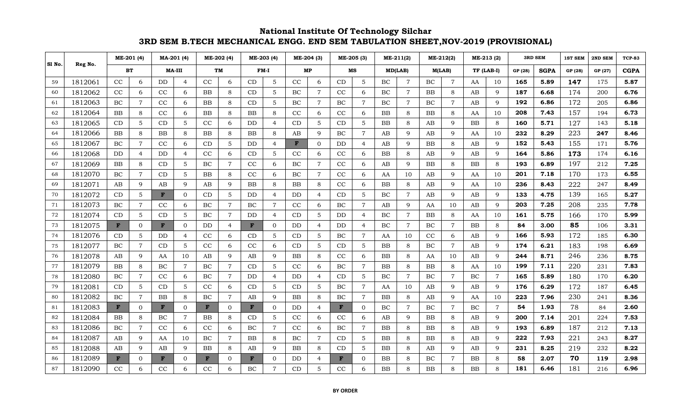|        |         |              | ME-201 (4)     |           | MA-201 (4)     |              | ME-202 (4)     |              | ME-203 (4)     |           | ME-204 (3)      |           | ME-205 (3)     |           | ME-211(2)      |             | ME-212(2)      |            | ME-213 (2)     |         | <b>3RD SEM</b> | 1ST SEM | 2ND SEM | <b>TCP-83</b> |
|--------|---------|--------------|----------------|-----------|----------------|--------------|----------------|--------------|----------------|-----------|-----------------|-----------|----------------|-----------|----------------|-------------|----------------|------------|----------------|---------|----------------|---------|---------|---------------|
| Sl No. | Reg No. | BT           |                |           | MA-III         |              | <b>TM</b>      |              | FM-I           |           | MP              |           | MS             |           | MD(LAB)        | M(LAB)      |                | TF (LAB-I) |                | GP (28) | <b>SGPA</b>    | GP (28) | GP (27) | <b>CGPA</b>   |
| 59     | 1812061 | CC           | 6              | DD        | 4              | CC           | 6              | CD           | 5              | CC        | 6               | CD        | 5              | BC        | $\overline{7}$ | BC.         | $\overline{7}$ | AA         | 10             | 165     | 5.89           | 147     | 175     | 5.87          |
| 60     | 1812062 | CC           | 6              | CC        | 6              | BB           | 8              | CD           | 5              | BC        | $\overline{7}$  | CC        | 6              | BC        | $\overline{7}$ | BB          | 8              | AB         | 9              | 187     | 6.68           | 174     | 200     | 6.76          |
| 61     | 1812063 | BC           | $\overline{7}$ | CC        | 6              | BB           | 8              | <b>CD</b>    | 5              | BC        | $\overline{7}$  | BС        | 7              | $\rm BC$  | $\overline{7}$ | BC          | $\overline{7}$ | AB         | 9              | 192     | 6.86           | 172     | 205     | 6.86          |
| 62     | 1812064 | BB           | 8              | CC        | 6              | <b>BB</b>    | 8              | BB           | 8              | $\rm CC$  | 6               | CC        | 6              | BB        | 8              | BB          | 8              | AA         | 10             | 208     | 7.43           | 157     | 194     | 6.73          |
| 63     | 1812065 | CD           | 5              | CD        | 5              | CC           | 6              | DD           | $\overline{4}$ | CD        | 5               | CD        | 5              | <b>BB</b> | 8              | AB          | 9              | <b>BB</b>  | 8              | 160     | 5.71           | 127     | 143     | 5.18          |
| 64     | 1812066 | <b>BB</b>    | 8              | <b>BB</b> | 8              | <b>BB</b>    | 8              | BB           | 8              | AB        | 9               | BС        | $\overline{7}$ | AB        | 9              | AB          | 9              | AA         | 10             | 232     | 8.29           | 223     | 247     | 8.46          |
| 65     | 1812067 | BC           | 7              | CC        | 6              | CD           | 5              | DD           | $\overline{4}$ | F         | $\mathbf{0}$    | DD        | 4              | AB        | 9              | ΒB          | 8              | AB         | 9              | 152     | 5.43           | 155     | 171     | 5.76          |
| 66     | 1812068 | <b>DD</b>    | 4              | DD        | $\overline{4}$ | CC           | 6              | CD           | 5              | CC        | 6               | CC        | 6              | <b>BB</b> | 8              | AB          | $\mathbf{Q}$   | AB         | 9              | 164     | 5.86           | 173     | 174     | 6.16          |
| 67     | 1812069 | <b>BB</b>    | 8              | CD        | 5              | BC           | $\overline{7}$ | CC           | 6              | BC        | $\overline{7}$  | CC        | 6              | AB        | 9              | BB          | 8              | <b>BB</b>  | 8              | 193     | 6.89           | 197     | 212     | 7.25          |
| 68     | 1812070 | BC           | $\overline{7}$ | CD        | 5              | BB           | 8              | CC           | 6              | BC        | $\overline{7}$  | CC        | 6              | AA        | 10             | AВ          | $\mathbf{Q}$   | AA         | 10             | 201     | 7.18           | 170     | 173     | 6.55          |
| 69     | 1812071 | AB           | 9              | AB        | 9              | AB           | 9              | <b>BB</b>    | 8              | BB        | 8               | CC        | 6              | BB        | 8              | AB          | $\mathbf{Q}$   | AA         | 10             | 236     | 8.43           | 222     | 247     | 8.49          |
| 70     | 1812072 | CD           | 5              | F         | $\mathbf{0}$   | CD           | 5              | DD           | $\overline{4}$ | <b>DD</b> | $\overline{4}$  | CD        | 5              | BC        | $\overline{7}$ | AB          | 9              | AB         | 9              | 133     | 4.75           | 139     | 165     | 5.27          |
| 71     | 1812073 | BC           | $\overline{7}$ | CC        | 6              | BC           | $\overline{7}$ | BC           | 7              | CC        | 6               | BС        | 7              | AB        | 9              | AA          | 10             | AB         | 9              | 203     | 7.25           | 208     | 235     | 7.78          |
| 72     | 1812074 | CD           | 5              | CD        | 5              | BC           | $\overline{7}$ | DD           | $\overline{4}$ | CD        | $\overline{5}$  | DD        | $\overline{4}$ | BC        | $\overline{7}$ | BB          | 8              | AA         | 10             | 161     | 5.75           | 166     | 170     | 5.99          |
| 73     | 1812075 | F            | 0              | F         | $\Omega$       | DD           | $\overline{4}$ | $\mathbf{F}$ | $\Omega$       | <b>DD</b> | $\overline{4}$  | <b>DD</b> | 4              | BC        | $\overline{7}$ | $\rm BC$    | $\overline{7}$ | <b>BB</b>  | 8              | 84      | 3.00           | 85      | 106     | 3.31          |
| 74     | 1812076 | CD           | 5              | DD        | 4              | CC           | 6              | CD           | 5              | CD        | 5               | BC        | $\overline{7}$ | AA        | 10             | CC          | 6              | AB         | 9              | 166     | 5.93           | 172     | 185     | 6.30          |
| 75     | 1812077 | BC           | $\overline{7}$ | CD        | 5              | CC           | 6              | CC           | 6              | CD        | $5\phantom{.0}$ | <b>CD</b> | 5              | BB        | 8              | BC          | $\overline{7}$ | AB         | 9              | 174     | 6.21           | 183     | 198     | 6.69          |
| 76     | 1812078 | AB           | 9              | AA        | 10             | AB           | 9              | AB           | $\mathbf{Q}$   | BB        | 8               | CC        | 6              | BB        | 8              | AA          | 10             | AB         | 9              | 244     | 8.71           | 246     | 236     | 8.75          |
| 77     | 1812079 | <b>BB</b>    | 8              | BC        | $\overline{7}$ | BC           | $\overline{7}$ | CD           | .5             | CC        | 6               | BС        | $\overline{7}$ | <b>BB</b> | 8              | <b>BB</b>   | 8              | AA         | 10             | 199     | 7.11           | 220     | 231     | 7.83          |
| 78     | 1812080 | BC           | $\overline{7}$ | CC        | 6              | BC           | $\tau$         | DD           | $\overline{4}$ | DD        | 4               | CD        | 5              | BC        | $\overline{7}$ | ВC          | 7              | BC         | $\overline{7}$ | 165     | 5.89           | 180     | 170     | 6.20          |
| 79     | 1812081 | CD           | 5              | CD        | 5              | CC           | 6              | CD           | 5              | CD        | $5\phantom{.0}$ | BС        | 7              | AA        | 10             | AB          | 9              | AB         | 9              | 176     | 6.29           | 172     | 187     | 6.45          |
| 80     | 1812082 | $\rm BC$     | $\overline{7}$ | BB        | 8              | $\rm BC$     | $\overline{7}$ | AB           | $\mathbf{Q}$   | BB        | 8               | BC        | $\overline{7}$ | BB        | 8              | AB          | $\mathbf{Q}$   | AA         | 10             | 223     | 7.96           | 230     | 241     | 8.36          |
| 81     | 1812083 | F            | 0              | F         | $\Omega$       | $\mathbf{F}$ | $\Omega$       | $\mathbf{F}$ | $\Omega$       | <b>DD</b> | $\overline{4}$  | F         | $\Omega$       | BC        | $\overline{7}$ | BC          | $\overline{7}$ | BC         | $\overline{7}$ | 54      | 1.93           | 78      | 84      | 2.60          |
| 82     | 1812084 | <b>BB</b>    | 8              | BC        | 7              | BB           | 8              | CD           | 5              | CC        | 6               | CC        | 6              | AB        | 9              | ΒB          | 8              | AB         | 9              | 200     | 7.14           | 201     | 224     | 7.53          |
| 83     | 1812086 | BC           | $\overline{7}$ | CC        | 6              | CC           | 6              | BC           | $\overline{7}$ | CC        | 6               | BC        | $\overline{7}$ | BB        | 8              | $_{\rm BB}$ | 8              | AB         | 9              | 193     | 6.89           | 187     | 212     | 7.13          |
| 84     | 1812087 | AB           | 9              | AA        | 10             | BC           | $\overline{7}$ | <b>BB</b>    | 8              | BC        | $\overline{7}$  | CD        | 5              | <b>BB</b> | 8              | BB          | 8              | AB         | 9              | 222     | 7.93           | 221     | 243     | 8.27          |
| 85     | 1812088 | AB           | 9              | AB        | 9              | BB           | 8              | AB           | 9              | <b>BB</b> | 8               | CD        | 5              | BB        | 8              | AB          | 9              | AB         | 9              | 231     | 8.25           | 219     | 232     | 8.22          |
| 86     | 1812089 | $\mathbf{F}$ | 0              | F         | $\overline{0}$ | F            | $\mathbf{0}$   | F            | $\overline{0}$ | DD        | 4               | F         | 0              | BB        | 8              | BC          | 7              | <b>BB</b>  | 8              | 58      | 2.07           | 70      | 119     | 2.98          |
| 87     | 1812090 | CC           | 6              | CC        | 6              | CC           | 6              | BC           |                | CD        | 5               | CC        | 6              | <b>BB</b> | 8              | BB          |                | <b>BB</b>  | 8              | 181     | 6.46           | 181     | 216     | 6.96          |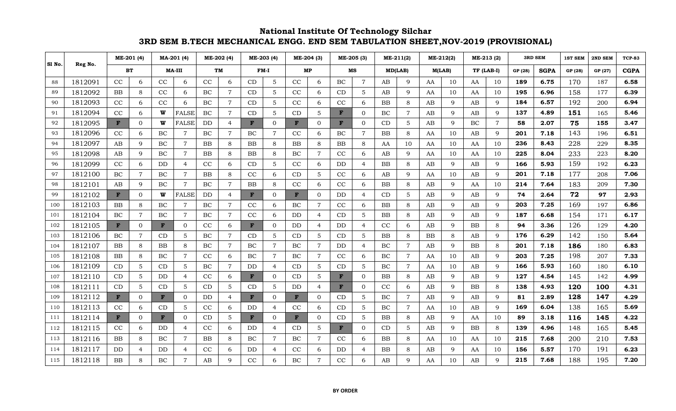|        |         |              | ME-201 (4)     |              | MA-201 (4)     |           | ME-202 (4)     |              | ME-203 (4)     |          | ME-204 (3)      |    | ME-205 (3)     |           | ME-211(2)      |           | ME-212(2)    |            | ME-213 (2)     |         | <b>3RD SEM</b> | 1ST SEM | 2ND SEM | <b>TCP-83</b> |
|--------|---------|--------------|----------------|--------------|----------------|-----------|----------------|--------------|----------------|----------|-----------------|----|----------------|-----------|----------------|-----------|--------------|------------|----------------|---------|----------------|---------|---------|---------------|
| Sl No. | Reg No. |              | ВT             |              | MA-III         |           | TM             |              | $FM-I$         |          | МP              |    | MS             |           | MD(LAB)        | M(LAB)    |              | TF (LAB-I) |                | GP (28) | <b>SGPA</b>    | GP (28) | GP (27) | <b>CGPA</b>   |
| 88     | 1812091 | CC           | 6              | CC           | 6              | CC        | 6              | CD           | 5              | CC       | 6               | BC | 7              | AB        | 9              | AA        | 10           | AA         | 10             | 189     | 6.75           | 170     | 187     | 6.58          |
| 89     | 1812092 | <b>BB</b>    | 8              | CC           | 6              | BC        | $\overline{7}$ | CD           | 5              | CC       | 6               | CD | 5              | AB        | 9              | AA        | 10           | AA         | 10             | 195     | 6.96           | 158     | 177     | 6.39          |
| 90     | 1812093 | CC           | 6              | CC           | 6              | BC        | $\overline{7}$ | <b>CD</b>    | 5              | $\rm CC$ | 6               | CC | 6              | BB        | 8              | AВ        | 9            | AB         | 9              | 184     | 6.57           | 192     | 200     | 6.94          |
| 91     | 1812094 | CC           | 6              | W            | <b>FALSE</b>   | BC        | $\overline{7}$ | CD           | 5              | CD       | 5               | F  | $\mathbf{0}$   | BC        | $\overline{7}$ | AВ        | 9            | AB         | 9              | 137     | 4.89           | 151     | 165     | 5.46          |
| 92     | 1812095 | $\mathbf{F}$ | 0              | W            | <b>FALSE</b>   | <b>DD</b> | $\overline{4}$ | F            | $\mathbf{0}$   | F        | $\mathbf{0}$    | F  | 0              | CD        | 5              | AB        | 9            | BC         | $\overline{7}$ | 58      | 2.07           | 75      | 155     | 3.47          |
| 93     | 1812096 | CC           | 6              | BC           | $\overline{7}$ | BC        | $\overline{7}$ | BC           | 7              | CC       | 6               | BC | 7              | <b>BB</b> | 8              | AA        | 10           | AB         | 9              | 201     | 7.18           | 143     | 196     | 6.51          |
| 94     | 1812097 | AB           | 9              | BC           | $\overline{7}$ | BB        | 8              | BB           | 8              | BB       | 8               | ΒB | 8              | AA        | 10             | AA        | 10           | AA         | 10             | 236     | 8.43           | 228     | 229     | 8.35          |
| 95     | 1812098 | AB           | 9              | BC           | $\overline{7}$ | <b>BB</b> | 8              | <b>BB</b>    | 8              | BC       | $\overline{7}$  | CC | 6              | AB        | 9              | AA        | 10           | AA         | 10             | 225     | 8.04           | 233     | 223     | 8.20          |
| 96     | 1812099 | CC           | 6              | DD           | $\overline{4}$ | CC        | 6              | CD           | 5              | CC       | 6               | DD | 4              | <b>BB</b> | 8              | AB        | 9            | AB         | 9              | 166     | 5.93           | 159     | 192     | 6.23          |
| 97     | 1812100 | BC           | $\overline{7}$ | BC           | $\overline{7}$ | BB        | 8              | CC           | -6             | CD       | 5               | CC | 6              | AB        | 9              | AA        | 10           | AB         | 9              | 201     | 7.18           | 177     | 208     | 7.06          |
| 98     | 1812101 | AB           | 9              | BC           | $\overline{7}$ | BC        | $\overline{7}$ | <b>BB</b>    | 8              | CC       | 6               | CC | 6              | <b>BB</b> | 8              | AB        | 9            | AA         | 10             | 214     | 7.64           | 183     | 209     | 7.30          |
| 99     | 1812102 | $\mathbf{F}$ | 0              | W            | <b>FALSE</b>   | DD        | $\overline{4}$ | F            | $\mathbf 0$    | F        | $\mathbf{0}$    | DD | 4              | CD        | 5              | AВ        | 9            | AB         | 9              | 74      | 2.64           | 72      | 97      | 2.93          |
| 100    | 1812103 | BB           | 8              | BC           | $\overline{7}$ | BC        | $\overline{7}$ | CC           | 6              | BC       | $\overline{7}$  | CC | 6              | <b>BB</b> | 8              | AB        | $\mathbf{Q}$ | AB         | 9              | 203     | 7.25           | 169     | 197     | 6.86          |
| 101    | 1812104 | BC           | $\overline{7}$ | BC           | $\overline{7}$ | <b>BC</b> | $\overline{7}$ | CC           | 6              | DD       | $\overline{4}$  | CD | 5              | ΒB        | 8              | AB        | 9            | AB         | 9              | 187     | 6.68           | 154     | 171     | 6.17          |
| 102    | 1812105 | $\mathbf{F}$ | 0              | $\mathbf{F}$ | $\mathbf{0}$   | CC        | 6              | $\mathbf{F}$ | $\overline{0}$ | DD       | $\overline{4}$  | DD | 4              | CC        | 6              | AВ        | $\mathbf Q$  | BB         | 8              | 94      | 3.36           | 126     | 129     | 4.20          |
| 103    | 1812106 | <b>BC</b>    | $\overline{7}$ | CD           | 5              | BC        | $\overline{7}$ | CD           | 5              | CD       | $5\phantom{.0}$ | CD | 5              | <b>BB</b> | 8              | <b>BB</b> | 8            | AB         | 9              | 176     | 6.29           | 142     | 150     | 5.64          |
| 104    | 1812107 | <b>BB</b>    | 8              | <b>BB</b>    | 8              | BC        | $\overline{7}$ | BC           | $\overline{7}$ | BC       | $\overline{7}$  | DD | 4              | BC        | $\overline{7}$ | AВ        | 9            | <b>BB</b>  | 8              | 201     | 7.18           | 186     | 180     | 6.83          |
| 105    | 1812108 | <b>BB</b>    | 8              | BC           | $\overline{7}$ | CC        | 6              | BC           | $\overline{7}$ | BC       | $\overline{7}$  | CC | 6              | BC        | $\overline{7}$ | AA        | 10           | AB         | 9              | 203     | 7.25           | 198     | 207     | 7.33          |
| 106    | 1812109 | CD           | 5              | CD           | 5              | BC        | $\overline{7}$ | DD           | $\overline{4}$ | CD       | $5\phantom{.0}$ | CD | 5              | $\rm BC$  | $\overline{7}$ | AA        | 10           | AB         | 9              | 166     | 5.93           | 160     | 180     | 6.10          |
| 107    | 1812110 | CD           | 5              | DD           | 4              | CC        | 6              | $\mathbf{F}$ | $\overline{0}$ | CD       | 5               | F  | $\overline{0}$ | BB        | 8              | AВ        | 9            | AB         | 9              | 127     | 4.54           | 145     | 142     | 4.99          |
| 108    | 1812111 | CD           | 5              | CD           | 5              | CD        | 5              | CD           | 5              | DD       | $\overline{4}$  | F  | $\Omega$       | CC        | 6              | AB        | 9            | <b>BB</b>  | 8              | 138     | 4.93           | 120     | 100     | 4.31          |
| 109    | 1812112 | $\mathbf{F}$ | $\overline{0}$ | F            | $\mathbf{0}$   | DD        | $\overline{4}$ | F            | $\overline{0}$ | F        | $\mathbf{0}$    | CD | 5              | BC        | $\overline{7}$ | AВ        | $\mathbf{Q}$ | AB         | 9              | 81      | 2.89           | 128     | 147     | 4.29          |
| 110    | 1812113 | CC           | 6              | CD           | 5              | CC        | 6              | DD           | $\overline{4}$ | CC       | 6               | CD | 5              | BC        | $\overline{7}$ | AA        | 10           | AB         | 9              | 169     | 6.04           | 138     | 165     | 5.69          |
| 111    | 1812114 | F            | $\Omega$       | F            | $\Omega$       | CD        | 5              | F            | $\Omega$       | F        | $\mathbf{0}$    | CD | 5              | BB        | 8              | AВ        | 9            | AA         | 10             | 89      | 3.18           | 116     | 145     | 4.22          |
| 112    | 1812115 | CC           | 6              | DD           | $\overline{4}$ | CC        | 6              | DD           | $\overline{4}$ | CD       | 5               | F  | $\Omega$       | CD        | 5              | AB        | $\mathbf Q$  | <b>BB</b>  | 8              | 139     | 4.96           | 148     | 165     | 5.45          |
| 113    | 1812116 | BB.          | 8              | BC           | $\overline{7}$ | <b>BB</b> | 8              | BC           |                | BC       | $\overline{7}$  | CC | 6              | BB        | 8              | AA        | 10           | AA         | 10             | 215     | 7.68           | 200     | 210     | 7.53          |
| 114    | 1812117 | DD.          | 4              | DD           | $\overline{4}$ | CC        | 6              | DD           | $\overline{4}$ | CC       | 6               | DD | 4              | <b>BB</b> | 8              | AB        | q            | AA         | 10             | 156     | 5.57           | 170     | 191     | 6.23          |
| 115    | 1812118 | BB           | 8              | BC           |                | AB        | $\mathbf{Q}$   | CC           | 6              | BC       | $\overline{7}$  | CC | 6              | AB        | 9              | AA        | 10           | AB         | 9              | 215     | 7.68           | 188     | 195     | 7.20          |